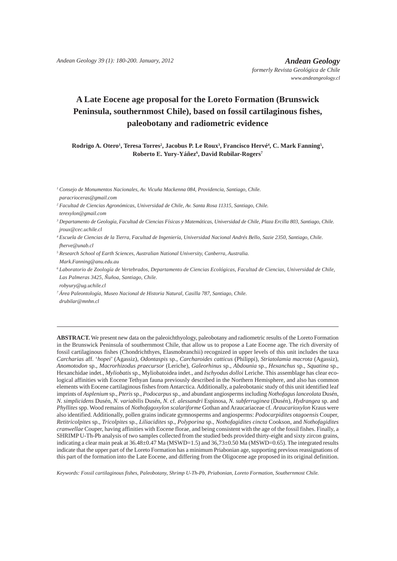# **A Late Eocene age proposal for the Loreto Formation (Brunswick Peninsula, southernmost Chile), based on fossil cartilaginous fishes, paleobotany and radiometric evidence**

**Rodrigo A. Otero<sup>1</sup>, Teresa Torres<sup>2</sup>, Jacobus P. Le Roux<sup>3</sup>, Francisco Hervé<sup>4</sup>, C. Mark Fanning<sup>5</sup>,** Roberto E. Yury-Yáñez<sup>6</sup>, David Rubilar-Rogers<sup>7</sup>

*1 Consejo de Monumentos Nacionales, Av. Vicuña Mackenna 084, Providencia, Santiago, Chile. paracrioceras@gmail.com*

- *2 Facultad de Ciencias Agronómicas, Universidad de Chile, Av. Santa Rosa 11315, Santiago, Chile. terexylon@gmail.com*
- *3 Departamento de Geología, Facultad de Ciencias Físicas y Matemáticas, Universidad de Chile, Plaza Ercilla 803, Santiago, Chile. jroux@cec.uchile.cl*
- *4 Escuela de Ciencias de la Tierra, Facultad de Ingeniería, Universidad Nacional Andrés Bello, Sazie 2350, Santiago, Chile. fherve@unab.cl*
- *5 Research School of Earth Sciences, Australian National University, Canberra, Australia. Mark.Fanning@anu.edu.au*
- *6 Laboratorio de Zoología de Vertebrados, Departamento de Ciencias Ecológicas, Facultad de Ciencias, Universidad de Chile, Las Palmeras 3425, Ñuñoa, Santiago, Chile. robyury@ug.uchile.cl*
- *7 Área Paleontología, Museo Nacional de Historia Natural, Casilla 787, Santiago, Chile. drubilar@mnhn.cl*

**ABSTRACT.** We present new data on the paleoichthyology, paleobotany and radiometric results of the Loreto Formation in the Brunswick Peninsula of southernmost Chile, that allow us to propose a Late Eocene age. The rich diversity of fossil cartilaginous fishes (Chondrichthyes, Elasmobranchii) recognized in upper levels of this unit includes the taxa *Carcharias* aff. '*hopei*' (Agassiz), *Odontaspis* sp., *Carcharoides catticus* (Philippi), *Striatolamia macrota* (Agassiz), *Anomotodon* sp., *Macrorhizodus praecursor* (Leriche), *Galeorhinus* sp., *Abdounia* sp., *Hexanchus* sp., *Squatina* sp., Hexanchidae indet., *Myliobatis* sp., Myliobatoidea indet., and *Ischyodus dolloi* Leriche. This assemblage has clear ecological affinities with Eocene Tethyan fauna previously described in the Northern Hemisphere, and also has common elements with Eocene cartilaginous fishes from Antarctica. Additionally, a paleobotanic study of this unit identified leaf imprints of *Asplenium* sp., *Pteris* sp., *Podocarpus* sp., and abundant angiosperms including *Nothofagus lanceolata* Dusén, *N. simplicidens* Dusén, *N. variabilis* Dusén, *N.* cf. *alessandri* Espinosa, *N. subferruginea* (Dusén), *Hydrangea* sp. and *Phyllites* spp. Wood remains of *Nothofagoxylon scalariforme* Gothan and Araucariaceae cf. *Araucarioxylon* Kraus were also identified. Additionally, pollen grains indicate gymnosperms and angiosperms: *Podocarpidites otagoensis* Couper, *Retitricolpites* sp., *Tricolpites* sp., *Liliacidites* sp., *Polyporina* sp., *Nothofagidites cincta* Cookson, and *Nothofagidites cranwellae* Couper, having affinities with Eocene florae, and being consistent with the age of the fossil fishes. Finally, a SHRIMP U-Th-Pb analysis of two samples collected from the studied beds provided thirty-eight and sixty zircon grains, indicating a clear main peak at  $36.48\pm0.47$  Ma (MSWD=1.5) and  $36,73\pm0.50$  Ma (MSWD=0.65). The integrated results indicate that the upper part of the Loreto Formation has a minimum Priabonian age, supporting previous reassignations of this part of the formation into the Late Eocene, and differing from the Oligocene age proposed in its original definition.

*Keywords: Fossil cartilaginous fishes, Paleobotany, Shrimp U-Th-Pb, Priabonian, Loreto Formation, Southernmost Chile.*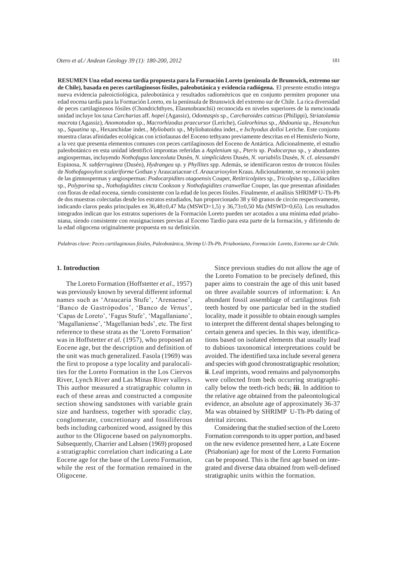**RESUMEN Una edad eocena tardía propuesta para la Formación Loreto (península de Brunswick, extremo sur de Chile), basada en peces cartilaginosos fósiles, paleobotánica y evidencia radiógena.** El presente estudio integra nueva evidencia paleoictiológica, paleobotánica y resultados radiométricos que en conjunto permiten proponer una edad eocena tardía para la Formación Loreto, en la península de Brunswick del extremo sur de Chile. La rica diversidad de peces cartilaginosos fósiles (Chondrichthyes, Elasmobranchii) reconocida en niveles superiores de la mencionada unidad incluye los taxa *Carcharias* aff. *hopei* (Agassiz), *Odontaspis* sp., *Carcharoides catticus* (Philippi), *Striatolamia macrota* (Agassiz), *Anomotodon* sp., *Macrorhizodus praecursor* (Leriche), *Galeorhinus* sp., *Abdounia* sp., *Hexanchus*  sp., *Squatina* sp., Hexanchidae indet., *Myliobatis* sp., Myliobatoidea indet., e *Ischyodus dolloi* Leriche. Este conjunto muestra claras afinidades ecológicas con ictiofaunas del Eoceno tethyano previamente descritas en el Hemisferio Norte, a la vez que presenta elementos comunes con peces cartilaginosos del Eoceno de Antártica. Adicionalmente, el estudio paleobotánico en esta unidad identificó improntas referidas a *Asplenium* sp., *Pteris* sp. *Podocarpus* sp., y abundantes angiospermas, incluyendo *Nothofagus lanceolata* Dusén, *N. simplicidens* Dusén, *N. variabilis* Dusén, *N.* cf. *alessandri* Espinosa, *N. subferruginea* (Dusén), *Hydrangea* sp. y *Phyllites* spp. Además, se identificaron restos de troncos fósiles de *Nothofagoxylon scalariforme* Gothan y Araucariaceae cf. *Araucarioxylon* Kraus. Adicionalmente, se reconoció polen de las gimnospermas y angiospermas: *Podocarpidites otagoensis* Couper, *Retitricolpites* sp., *Tricolpites* sp., *Liliacidites* sp., *Polyporina* sp., *Nothofagidites cincta* Cookson y *Nothofagidites cranwellae* Couper, las que presentan afinidades con floras de edad eocena, siendo consistente con la edad de los peces fósiles. Finalmente, el análisis SHRIMP U-Th-Pb de dos muestras colectadas desde los estratos estudiados, han proporcionado 38 y 60 granos de circón respectivamente, indicando claros peaks principales en 36,48±0,47 Ma (MSWD=1,5) y 36,73±0,50 Ma (MSWD=0,65). Los resultados integrados indican que los estratos superiores de la Formación Loreto pueden ser acotados a una mínima edad priaboniana, siendo consistente con reasignaciones previas al Eoceno Tardío para esta parte de la formación, y difiriendo de la edad oligocena originalmente propuesta en su definición.

*Palabras clave: Peces cartilaginosos fósiles, Paleobotánica, Shrimp U-Th-Pb, Priaboniano, Formación Loreto, Extremo sur de Chile.*

### **1. Introduction**

The Loreto Formation (Hoffstetter *et al*., 1957) was previously known by several different informal names such as 'Araucaria Stufe', 'Arenaense', 'Banco de Gastrópodos', 'Banco de Venus', 'Capas de Loreto', 'Fagus Stufe', 'Magallaniano', 'Magallaniense', 'Magellanian beds', etc. The first reference to these strata as the 'Loreto Formation' was in Hoffstetter *et al.* (1957), who proposed an Eocene age, but the description and definition of the unit was much generalized. Fasola (1969) was the first to propose a type locality and paralocalities for the Loreto Formation in the Los Ciervos River, Lynch River and Las Minas River valleys. This author measured a stratigraphic column in each of these areas and constructed a composite section showing sandstones with variable grain size and hardness, together with sporadic clay, conglomerate, concretionary and fossiliferous beds including carbonized wood, assigned by this author to the Oligocene based on palynomorphs. Subsequently, Charrier and Lahsen (1969) proposed a stratigraphic correlation chart indicating a Late Eocene age for the base of the Loreto Formation, while the rest of the formation remained in the Oligocene.

Since previous studies do not allow the age of the Loreto Fomation to be precisely defined, this paper aims to constrain the age of this unit based on three available sources of information: **i**. An abundant fossil assemblage of cartilaginous fish teeth hosted by one particular bed in the studied locality, made it possible to obtain enough samples to interpret the different dental shapes belonging to certain genera and species. In this way, identifications based on isolated elements that usually lead to dubious taxonomical interpretations could be avoided. The identified taxa include several genera and species with good chronostratigraphic resolution; **ii**. Leaf imprints, wood remains and palynomorphs were collected from beds occurring stratigraphically below the teeth-rich beds; **iii**. In addition to the relative age obtained from the paleontological evidence, an absolute age of approximately 36-37 Ma was obtained by SHRIMP U-Th-Pb dating of detrital zircons.

Considering that the studied section of the Loreto Formation corresponds to its upper portion, and based on the new evidence presented here, a Late Eocene (Priabonian) age for most of the Loreto Formation can be proposed. This is the first age based on integrated and diverse data obtained from well-defined stratigraphic units within the formation.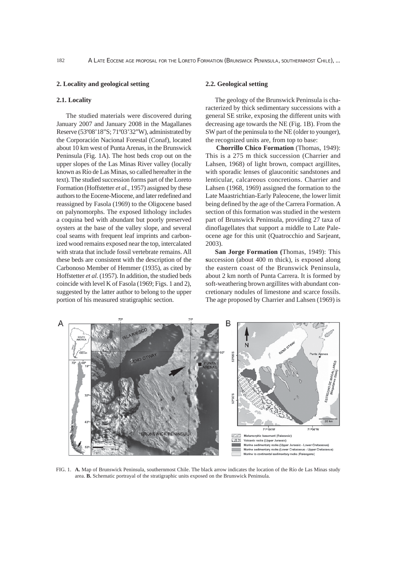### **2. Locality and geological setting**

#### **2.1. Locality**

The studied materials were discovered during January 2007 and January 2008 in the Magallanes Reserve (53º08'18"S; 71º03'32"W), administrated by the Corporación Nacional Forestal (Conaf), located about 10 km west of Punta Arenas, in the Brunswick Peninsula (Fig. 1A). The host beds crop out on the upper slopes of the Las Minas River valley (locally known as Río de Las Minas, so called hereafter in the text). The studied succession forms part of the Loreto Formation (Hoffstetter *et al.*, 1957) assigned by these authors to the Eocene-Miocene, and later redefined and reassigned by Fasola (1969) to the Oligocene based on palynomorphs. The exposed lithology includes a coquina bed with abundant but poorly preserved oysters at the base of the valley slope, and several coal seams with frequent leaf imprints and carbonized wood remains exposed near the top, intercalated with strata that include fossil vertebrate remains. All these beds are consistent with the description of the Carbonoso Member of Hemmer (1935), as cited by Hoffstetter *et al.* (1957)*.* In addition, the studied beds coincide with level K of Fasola (1969; Figs. 1 and 2), suggested by the latter author to belong to the upper portion of his measured stratigraphic section.

### **2.2. Geological setting**

The geology of the Brunswick Peninsula is characterized by thick sedimentary successions with a general SE strike, exposing the different units with decreasing age towards the NE (Fig. 1B). From the SW part of the peninsula to the NE (older to younger), the recognized units are, from top to base:

**Chorrillo Chico Formation** (Thomas, 1949): This is a 275 m thick succession (Charrier and Lahsen, 1968) of light brown, compact argillites, with sporadic lenses of glauconitic sandstones and lenticular, calcareous concretions. Charrier and Lahsen (1968, 1969) assigned the formation to the Late Maastrichtian-Early Paleocene, the lower limit being defined by the age of the Carrera Formation. A section of this formation was studied in the western part of Brunswick Peninsula, providing 27 taxa of dinoflagellates that support a middle to Late Paleocene age for this unit (Quatrocchio and Sarjeant, 2003).

**San Jorge Formation (**Thomas, 1949): This **s**uccession (about 400 m thick), is exposed along the eastern coast of the Brunswick Peninsula, about 2 km north of Punta Carrera. It is formed by soft-weathering brown argillites with abundant concretionary nodules of limestone and scarce fossils. The age proposed by Charrier and Lahsen (1969) is



FIG. 1. **A.** Map of Brunswick Peninsula, southernmost Chile. The black arrow indicates the location of the Río de Las Minas study area. **B.** Schematic portrayal of the stratigraphic units exposed on the Brunswick Peninsula.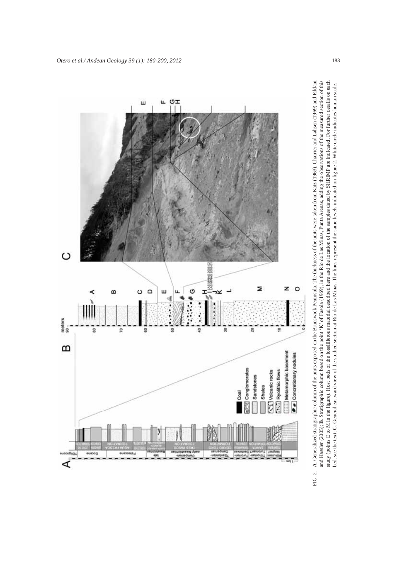

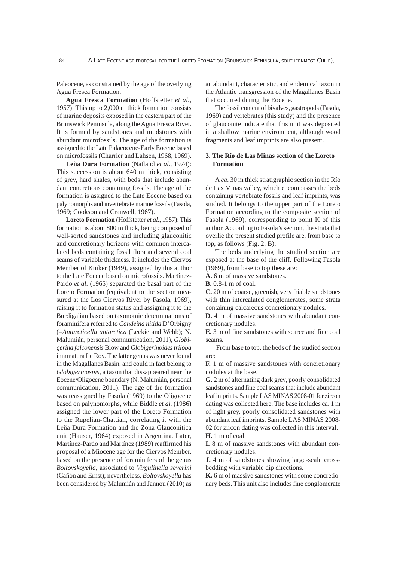Paleocene, as constrained by the age of the overlying Agua Fresca Formation.

**Agua Fresca Formation** (Hoffstetter *et al.*, 1957): This up to 2,000 m thick formation consists of marine deposits exposed in the eastern part of the Brunswick Peninsula, along the Agua Fresca River. It is formed by sandstones and mudstones with abundant microfossils. The age of the formation is assigned to the Late Palaeocene-Early Eocene based on microfossils (Charrier and Lahsen, 1968, 1969).

**Leña Dura Formation** (Natland *et al.*, 1974): This succession is about 640 m thick, consisting of grey, hard shales, with beds that include abundant concretions containing fossils. The age of the formation is assigned to the Late Eocene based on palynomorphs and invertebrate marine fossils (Fasola, 1969; Cookson and Cranwell, 1967).

**Loreto Formation** (Hoffstetter *et al*., 1957): This formation is about 800 m thick, being composed of well-sorted sandstones and including glauconitic and concretionary horizons with common intercalated beds containing fossil flora and several coal seams of variable thickness. It includes the Ciervos Member of Kniker (1949), assigned by this author to the Late Eocene based on microfossils. Martínez-Pardo *et al*. (1965) separated the basal part of the Loreto Formation (equivalent to the section measured at the Los Ciervos River by Fasola, 1969), raising it to formation status and assigning it to the Burdigalian based on taxonomic determinations of foraminifera referred to *Candeina nitida* D'Orbigny (=*Antarcticella antarctica* (Leckie and Webb); N. Malumián, personal communication, 2011), *Globigerina falconensis* Blow and *Globigerinoides triloba*  inmmatura Le Roy. The latter genus was never found in the Magallanes Basin, and could in fact belong to *Globigerinaspis*, a taxon that dissappeared near the Eocene/Oligocene boundary (N. Malumián, personal communication, 2011). The age of the formation was reassigned by Fasola (1969) to the Oligocene based on palynomorphs, while Biddle *et al*. (1986) assigned the lower part of the Loreto Formation to the Rupelian-Chattian, correlating it with the Leña Dura Formation and the Zona Glauconítica unit (Hauser, 1964) exposed in Argentina. Later, Martínez-Pardo and Martínez (1989) reaffirmed his proposal of a Miocene age for the Ciervos Member, based on the presence of foraminifers of the genus *Boltovskoyella*, associated to *Virgulinella severini*  (Cañón and Ernst); nevertheless, *Boltovskoyella* has been considered by Malumián and Jannou (2010) as

an abundant, characteristic, and endemical taxon in the Atlantic transgression of the Magallanes Basin that occurred during the Eocene.

The fossil content of bivalves, gastropods (Fasola, 1969) and vertebrates (this study) and the presence of glauconite indicate that this unit was deposited in a shallow marine environment, although wood fragments and leaf imprints are also present.

# **3. The Río de Las Minas section of the Loreto Formation**

A *ca*. 30 m thick stratigraphic section in the Río de Las Minas valley, which encompasses the beds containing vertebrate fossils and leaf imprints, was studied. It belongs to the upper part of the Loreto Formation according to the composite section of Fasola (1969), corresponding to point K of this author. According to Fasola's section, the strata that overlie the present studied profile are, from base to top, as follows (Fig. 2: B):

The beds underlying the studied section are exposed at the base of the cliff. Following Fasola (1969), from base to top these are:

**A.** 6 m of massive sandstones.

**B.** 0.8-1 m of coal.

**C.** 20 m of coarse, greenish, very friable sandstones with thin intercalated conglomerates, some strata containing calcareous concretionary nodules.

**D.** 4 m of massive sandstones with abundant concretionary nodules.

**E.** 3 m of fine sandstones with scarce and fine coal seams.

 From base to top, the beds of the studied section are:

**F.** 1 m of massive sandstones with concretionary nodules at the base.

**G.** 2 m of alternating dark grey, poorly consolidated sandstones and fine coal seams that include abundant leaf imprints. Sample LAS MINAS 2008-01 for zircon dating was collected here. The base includes ca. 1 m of light grey, poorly consolidated sandstones with abundant leaf imprints. Sample LAS MINAS 2008- 02 for zircon dating was collected in this interval. **H.** 1 m of coal.

**I.** 8 m of massive sandstones with abundant concretionary nodules.

**J.** 4 m of sandstones showing large-scale crossbedding with variable dip directions.

**K.** 6 m of massive sandstones with some concretionary beds. This unit also includes fine conglomerate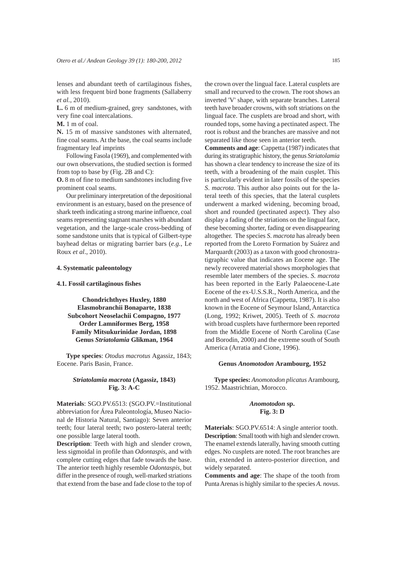lenses and abundant teeth of cartilaginous fishes, with less frequent bird bone fragments (Sallaberry *et al.*, 2010).

**L.** 6 m of medium-grained, grey sandstones, with very fine coal intercalations.

**M.** 1 m of coal.

**N.** 15 m of massive sandstones with alternated, fine coal seams. At the base, the coal seams include fragmentary leaf imprints

Following Fasola (1969), and complemented with our own observations, the studied section is formed from top to base by (Fig. 2B and C):

**O.** 8 m of fine to medium sandstones including five prominent coal seams.

Our preliminary interpretation of the depositional environment is an estuary, based on the presence of shark teeth indicating a strong marine influence, coal seams representing stagnant marshes with abundant vegetation, and the large-scale cross-bedding of some sandstone units that is typical of Gilbert-type bayhead deltas or migrating barrier bars (*e.g.*, Le Roux *et al*., 2010).

#### **4. Systematic paleontology**

#### **4.1. Fossil cartilaginous fishes**

**Chondrichthyes Huxley, 1880 Elasmobranchii Bonaparte, 1838 Subcohort Neoselachii Compagno, 1977 Order Lamniformes Berg, 1958 Family Mitsukurinidae Jordan, 1898 Genus** *Striatolamia* **Glikman, 1964**

**Type species**: *Otodus macrotus* Agassiz, 1843; Eocene. Paris Basin, France.

### *Striatolamia macrota* **(Agassiz, 1843) Fig. 3: A-C**

**Materials**: SGO.PV.6513: (SGO.PV.=Institutional abbreviation for Área Paleontología, Museo Nacional de Historia Natural, Santiago): Seven anterior teeth; four lateral teeth; two postero-lateral teeth; one possible large lateral tooth.

**Description**: Teeth with high and slender crown, less sigmoidal in profile than *Odontaspis*, and with complete cutting edges that fade towards the base. The anterior teeth highly resemble *Odontaspis*, but differ in the presence of rough, well-marked striations that extend from the base and fade close to the top of the crown over the lingual face. Lateral cusplets are small and recurved to the crown. The root shows an inverted 'V' shape, with separate branches. Lateral teeth have broader crowns, with soft striations on the lingual face. The cusplets are broad and short, with rounded tops, some having a pectinated aspect. The root is robust and the branches are massive and not separated like those seen in anterior teeth.

**Comments and age**: Cappetta (1987) indicates that during its stratigraphic history, the genus *Striatolamia* has shown a clear tendency to increase the size of its teeth, with a broadening of the main cusplet. This is particularly evident in later fossils of the species *S*. *macrota*. This author also points out for the lateral teeth of this species, that the lateral cusplets underwent a marked widening, becoming broad, short and rounded (pectinated aspect). They also display a fading of the striations on the lingual face, these becoming shorter, fading or even disappearing altogether. The species *S*. *macrota* has already been reported from the Loreto Formation by Suárez and Marquardt (2003) as a taxon with good chronostratigraphic value that indicates an Eocene age. The newly recovered material shows morphologies that resemble later members of the species. *S. macrota* has been reported in the Early Palaeocene-Late Eocene of the ex-U.S.S.R., North America, and the north and west of Africa (Cappetta, 1987). It is also known in the Eocene of Seymour Island, Antarctica (Long, 1992; Kriwet, 2005). Teeth of *S. macrota* with broad cusplets have furthermore been reported from the Middle Eocene of North Carolina (Case and Borodin, 2000) and the extreme south of South America (Arratia and Cione, 1996).

#### **Genus** *Anomotodon* **Arambourg, 1952**

**Type species:** *Anomotodon plicatus* Arambourg, 1952. Maastrichtian, Morocco.

### *Anomotodon* **sp. Fig. 3: D**

**Materials**: SGO.PV.6514: A single anterior tooth. **Description**: Small tooth with high and slender crown. The enamel extends laterally, having smooth cutting edges. No cusplets are noted. The root branches are thin, extended in antero-posterior direction, and widely separated.

**Comments and age**: The shape of the tooth from Punta Arenas is highly similar to the species *A. novus*.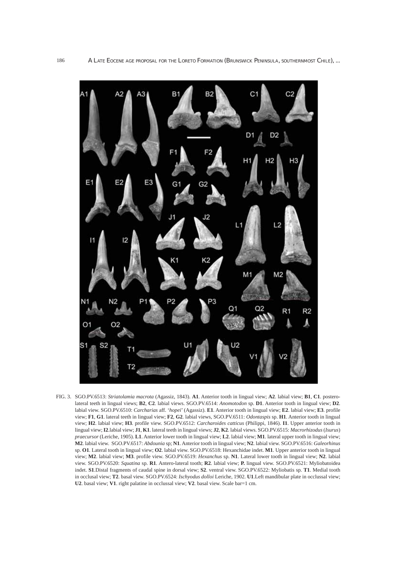

FIG. 3. SGO.PV.6513: *Striatolamia macrota* (Agassiz, 1843). **A1**. Anterior tooth in lingual view; **A2**. labial view; **B1**, **C1**. posterolateral teeth in lingual views; **B2**, **C2**. labial views. SGO.PV.6514: *Anomotodon* sp. **D1**. Anterior tooth in lingual view; **D2**. labial view. SGO.PV.6510: *Carcharias* aff. '*hopei*' (Agassiz). **E1**. Anterior tooth in lingual view; **E2**. labial view; **E3**. profile view; **F1**, **G1**. lateral teeth in lingual view; **F2**, **G2**. labial views, SGO.PV.6511: *Odontaspis* sp. **H1**. Anterior tooth in lingual view; **H2**. labial view; **H3**. profile view. SGO.PV.6512: *Carcharoides catticus* (Philippi, 1846). **I1**. Upper anterior tooth in lingual view; **I2**.labial view; **J1**, **K1**. lateral teeth in lingual views; **J2**, **K2**. labial views. SGO.PV.6515: *Macrorhizodus* (*Isurus*) *praecursor* (Leriche, 1905). **L1**. Anterior lower tooth in lingual view; **L2**. labial view; **M1**. lateral upper tooth in lingual view; **M2**. labial view. SGO.PV.6517: *Abdounia* sp; **N1**. Anterior tooth in lingual view; **N2**. labial view. SGO.PV.6516: *Galeorhinus* sp. **O1**. Lateral tooth in lingual view; **O2**. labial view. SGO.PV.6518: Hexanchidae indet. **M1**. Upper anterior tooth in lingual view; **M2**. labial view; **M3**. profile view. SGO.PV.6519: *Hexanchus* sp. **N1**. Lateral lower tooth in lingual view; **N2**. labial view. SGO.PV.6520: *Squatina* sp. **R1**. Antero-lateral tooth; **R2**. labial view; **P.** lingual view. SGO.PV.6521: Myliobatoidea indet. **S1**.Distal fragments of caudal spine in dorsal view; **S2**. ventral view. SGO.PV.6522: Myliobatis sp. **T1**. Medial tooth in occlusal view; **T2**. basal view. SGO.PV.6524: *Ischyodus dolloi* Leriche, 1902. **U1**.Left mandibular plate in occlussal view; **U2**. basal view; **V1**. right palatine in occlussal view; **V2**. basal view. Scale bar=1 cm.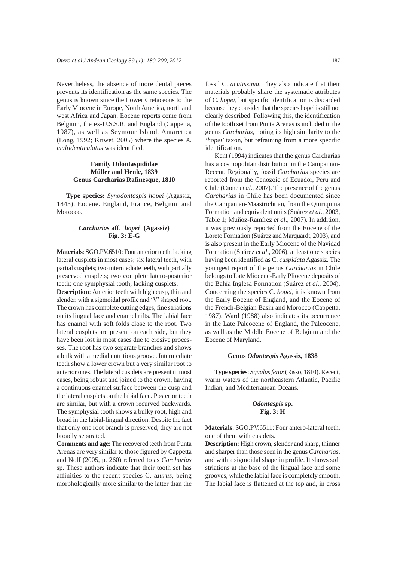Nevertheless, the absence of more dental pieces prevents its identification as the same species. The genus is known since the Lower Cretaceous to the Early Miocene in Europe, North America, north and west Africa and Japan. Eocene reports come from Belgium, the ex-U.S.S.R. and England (Cappetta, 1987), as well as Seymour Island, Antarctica (Long, 1992; Kriwet, 2005) where the species *A. multidenticulatus* was identified.

# **Family Odontaspididae Müller and Henle, 1839 Genus Carcharias Rafinesque, 1810**

**Type species:** *Synodontaspis hopei* (Agassiz, 1843), Eocene. England, France, Belgium and Morocco.

# *Carcharias* **aff**. '*hopei*' **(Agassiz) Fig. 3: E-G**

**Materials**: SGO.PV.6510: Four anterior teeth, lacking lateral cusplets in most cases; six lateral teeth, with partial cusplets; two intermediate teeth, with partially preserved cusplets; two complete latero-posterior teeth; one symphysial tooth, lacking cusplets.

**Description**: Anterior teeth with high cusp, thin and slender, with a sigmoidal profile and 'V' shaped root. The crown has complete cutting edges, fine striations on its lingual face and enamel rifts. The labial face has enamel with soft folds close to the root. Two lateral cusplets are present on each side, but they have been lost in most cases due to erosive processes. The root has two separate branches and shows a bulk with a medial nutritious groove. Intermediate teeth show a lower crown but a very similar root to anterior ones. The lateral cusplets are present in most cases, being robust and joined to the crown, having a continuous enamel surface between the cusp and the lateral cusplets on the labial face. Posterior teeth are similar, but with a crown recurved backwards. The symphysial tooth shows a bulky root, high and broad in the labial-lingual direction. Despite the fact that only one root branch is preserved, they are not broadly separated.

**Comments and age**: The recovered teeth from Punta Arenas are very similar to those figured by Cappetta and Nolf (2005, p. 260) referred to as *Carcharias* sp. These authors indicate that their tooth set has affinities to the recent species C. *taurus*, being morphologically more similar to the latter than the fossil C. *acutissima*. They also indicate that their materials probably share the systematic attributes of C. *hopei*, but specific identification is discarded because they consider that the species hopei is still not clearly described. Following this, the identification of the tooth set from Punta Arenas is included in the genus *Carcharias*, noting its high similarity to the '*hopei*' taxon, but refraining from a more specific identification.

Kent (1994) indicates that the genus Carcharias has a cosmopolitan distribution in the Campanian-Recent. Regionally, fossil *Carcharias* species are reported from the Cenozoic of Ecuador, Peru and Chile (Cione *et al*., 2007). The presence of the genus *Carcharias* in Chile has been documented since the Campanian-Maastrichtian, from the Quiriquina Formation and equivalent units (Suárez *et al*., 2003, Table 1; Muñoz-Ramírez *et al*., 2007). In addition, it was previously reported from the Eocene of the Loreto Formation (Suárez and Marquardt, 2003), and is also present in the Early Miocene of the Navidad Formation (Suárez *et al*., 2006), at least one species having been identified as C. *cuspidata* Agassiz. The youngest report of the genus *Carcharias* in Chile belongs to Late Miocene-Early Pliocene deposits of the Bahía Inglesa Formation (Suárez *et al*., 2004). Concerning the species C. *hopei*, it is known from the Early Eocene of England, and the Eocene of the French-Belgian Basin and Morocco (Cappetta, 1987). Ward (1988) also indicates its occurrence in the Late Paleocene of England, the Paleocene, as well as the Middle Eocene of Belgium and the Eocene of Maryland.

### **Genus** *Odontaspis* **Agassiz, 1838**

**Type species**: *Squalus ferox* (Risso, 1810). Recent, warm waters of the northeastern Atlantic, Pacific Indian, and Mediterranean Oceans.

# *Odontaspis* **sp. Fig. 3: H**

**Materials**: SGO.PV.6511: Four antero-lateral teeth, one of them with cusplets.

**Description**: High crown, slender and sharp, thinner and sharper than those seen in the genus *Carcharias*, and with a sigmoidal shape in profile. It shows soft striations at the base of the lingual face and some grooves, while the labial face is completely smooth. The labial face is flattened at the top and, in cross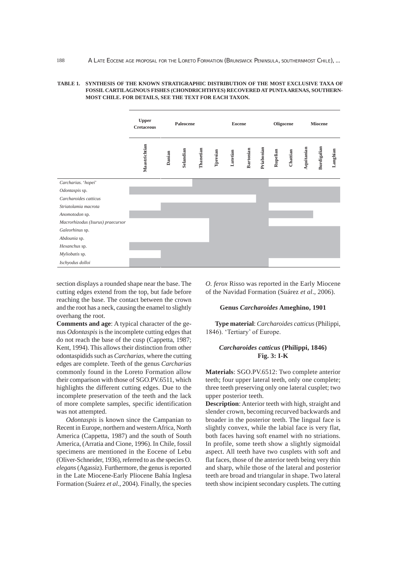### **TABLE 1. SYNTHESIS OF THE KNOWN STRATIGRAPHIC DISTRIBUTION OF THE MOST EXCLUSIVE TAXA OF FOSSIL CARTILAGINOUS FISHES (CHONDRICHTHYES) RECOVERED AT PUNTA ARENAS, SOUTHERN-MOST CHILE. FOR DETAILS, SEE THE TEXT FOR EACH TAXON.**

|                                   | <b>Upper</b><br><b>Cretaceous</b> | Paleocene |           |           | <b>Eocene</b> |          |           |            | Oligocene |          | Miocene    |             |          |
|-----------------------------------|-----------------------------------|-----------|-----------|-----------|---------------|----------|-----------|------------|-----------|----------|------------|-------------|----------|
|                                   | Maastrichtian                     | Danian    | Selandian | Thanetian | Ypresian      | Lutetian | Bartonian | Priabonian | Rupelian  | Chattian | Aquitanian | Burdigalian | Langhian |
| Carcharias. 'hopei'               |                                   |           |           |           |               |          |           |            |           |          |            |             |          |
| Odontaspis sp.                    |                                   |           |           |           |               |          |           |            |           |          |            |             |          |
| Carcharoides catticus             |                                   |           |           |           |               |          |           |            |           |          |            |             |          |
| Striatolamia macrota              |                                   |           |           |           |               |          |           |            |           |          |            |             |          |
| Anomotodon sp.                    |                                   |           |           |           |               |          |           |            |           |          |            |             |          |
| Macrorhizodus (Isurus) praecursor |                                   |           |           |           |               |          |           |            |           |          |            |             |          |
| Galeorhinus sp.                   |                                   |           |           |           |               |          |           |            |           |          |            |             |          |
| Abdounia sp.                      |                                   |           |           |           |               |          |           |            |           |          |            |             |          |
| Hexanchus sp.                     |                                   |           |           |           |               |          |           |            |           |          |            |             |          |
| Myliobatis sp.                    |                                   |           |           |           |               |          |           |            |           |          |            |             |          |
| Ischyodus dolloi                  |                                   |           |           |           |               |          |           |            |           |          |            |             |          |

section displays a rounded shape near the base. The cutting edges extend from the top, but fade before reaching the base. The contact between the crown and the root has a neck, causing the enamel to slightly overhang the root.

**Comments and age**: A typical character of the genus *Odontaspis* is the incomplete cutting edges that do not reach the base of the cusp (Cappetta, 1987; Kent, 1994). This allows their distinction from other odontaspidids such as *Carcharias*, where the cutting edges are complete. Teeth of the genus *Carcharias* commonly found in the Loreto Formation allow their comparison with those of SGO.PV.6511, which highlights the different cutting edges. Due to the incomplete preservation of the teeth and the lack of more complete samples, specific identification was not attempted.

*Odontaspis* is known since the Campanian to Recent in Europe, northern and western Africa, North America (Cappetta, 1987) and the south of South America, (Arratia and Cione, 1996). In Chile, fossil specimens are mentioned in the Eocene of Lebu (Oliver-Schneider, 1936), referred to as the species O. *elegans* (Agassiz). Furthermore, the genus is reported in the Late Miocene-Early Pliocene Bahía Inglesa Formation (Suárez *et al*., 2004). Finally, the species

*O. ferox* Risso was reported in the Early Miocene of the Navidad Formation (Suárez *et al*., 2006).

#### **Genus** *Carcharoides* **Ameghino, 1901**

**Type material**: *Carcharoides catticus* (Philippi, 1846). 'Tertiary' of Europe.

### *Carcharoides catticus* **(Philippi, 1846) Fig. 3: I-K**

**Materials**: SGO.PV.6512: Two complete anterior teeth; four upper lateral teeth, only one complete; three teeth preserving only one lateral cusplet; two upper posterior teeth.

**Description**: Anterior teeth with high, straight and slender crown, becoming recurved backwards and broader in the posterior teeth. The lingual face is slightly convex, while the labial face is very flat, both faces having soft enamel with no striations. In profile, some teeth show a slightly sigmoidal aspect. All teeth have two cusplets with soft and flat faces, those of the anterior teeth being very thin and sharp, while those of the lateral and posterior teeth are broad and triangular in shape. Two lateral teeth show incipient secondary cusplets. The cutting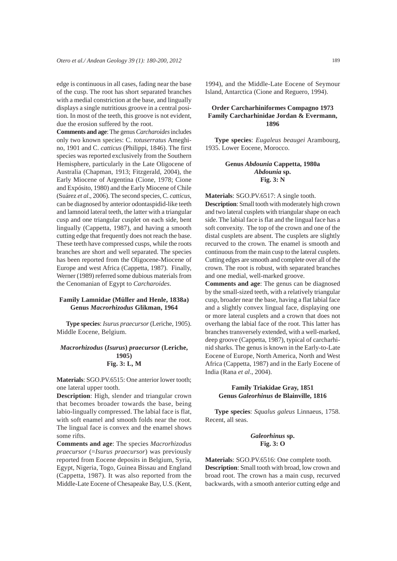edge is continuous in all cases, fading near the base of the cusp. The root has short separated branches with a medial constriction at the base, and lingually displays a single nutritious groove in a central position. In most of the teeth, this groove is not evident, due the erosion suffered by the root.

**Comments and age**: The genus *Carcharoides* includes only two known species: C. *totuserratus* Ameghino, 1901 and C. *catticus* (Philippi, 1846). The first species was reported exclusively from the Southern Hemisphere, particularly in the Late Oligocene of Australia (Chapman, 1913; Fitzgerald, 2004), the Early Miocene of Argentina (Cione, 1978; Cione and Expósito, 1980) and the Early Miocene of Chile (Suárez *et al*., 2006). The second species, C. *catticus*, can be diagnosed by anterior odontaspidid-like teeth and lamnoid lateral teeth, the latter with a triangular cusp and one triangular cusplet on each side, bent lingually (Cappetta, 1987), and having a smooth cutting edge that frequently does not reach the base. These teeth have compressed cusps, while the roots branches are short and well separated. The species has been reported from the Oligocene-Miocene of Europe and west Africa (Cappetta, 1987). Finally, Werner (1989) referred some dubious materials from the Cenomanian of Egypt to *Carcharoides*.

### **Family Lamnidae (Müller and Henle, 1838a) Genus** *Macrorhizodus* **Glikman, 1964**

**Type species**: *Isurus praecursor* (Leriche, 1905). Middle Eocene, Belgium.

### *Macrorhizodus* **(***Isurus***)** *praecursor* **(Leriche, 1905) Fig. 3: L, M**

**Materials**: SGO.PV.6515: One anterior lower tooth; one lateral upper tooth.

**Description**: High, slender and triangular crown that becomes broader towards the base, being labio-lingually compressed. The labial face is flat, with soft enamel and smooth folds near the root. The lingual face is convex and the enamel shows some rifts.

**Comments and age**: The species *Macrorhizodus praecursor* (=*Isurus praecursor*) was previously reported from Eocene deposits in Belgium, Syria, Egypt, Nigeria, Togo, Guinea Bissau and England (Cappetta, 1987). It was also reported from the Middle-Late Eocene of Chesapeake Bay, U.S. (Kent,

# **Order Carcharhiniformes Compagno 1973 Family Carcharhinidae Jordan & Evermann, 1896**

**Type species**: *Eugaleus beaugei* Arambourg, 1935. Lower Eocene, Morocco.

# **Genus** *Abdounia* **Cappetta, 1980a** *Abdounia* **sp. Fig. 3: N**

**Materials**: SGO.PV.6517: A single tooth.

**Description**: Small tooth with moderately high crown and two lateral cusplets with triangular shape on each side. The labial face is flat and the lingual face has a soft convexity. The top of the crown and one of the distal cusplets are absent. The cusplets are slightly recurved to the crown. The enamel is smooth and continuous from the main cusp to the lateral cusplets. Cutting edges are smooth and complete over all of the crown. The root is robust, with separated branches and one medial, well-marked groove.

**Comments and age**: The genus can be diagnosed by the small-sized teeth, with a relatively triangular cusp, broader near the base, having a flat labial face and a slightly convex lingual face, displaying one or more lateral cusplets and a crown that does not overhang the labial face of the root. This latter has branches transversely extended, with a well-marked, deep groove (Cappetta, 1987), typical of carcharhinid sharks. The genus is known in the Early-to-Late Eocene of Europe, North America, North and West Africa (Cappetta, 1987) and in the Early Eocene of India (Rana *et al*., 2004).

### **Family Triakidae Gray, 1851 Genus** *Galeorhinus* **de Blainville, 1816**

**Type species**: *Squalus galeus* Linnaeus, 1758. Recent, all seas.

### *Galeorhinus* **sp. Fig. 3: O**

**Materials**: SGO.PV.6516: One complete tooth. **Description**: Small tooth with broad, low crown and broad root. The crown has a main cusp, recurved backwards, with a smooth anterior cutting edge and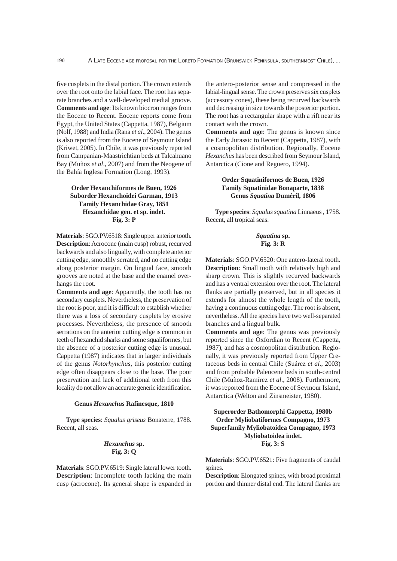five cusplets in the distal portion. The crown extends over the root onto the labial face. The root has separate branches and a well-developed medial groove. **Comments and age**: Its known biocron ranges from the Eocene to Recent. Eocene reports come from Egypt, the United States (Cappetta, 1987), Belgium (Nolf, 1988) and India (Rana *et al*., 2004). The genus is also reported from the Eocene of Seymour Island (Kriwet, 2005). In Chile, it was previously reported from Campanian-Maastrichtian beds at Talcahuano Bay (Muñoz *et al*., 2007) and from the Neogene of the Bahía Inglesa Formation (Long, 1993).

# **Order Hexanchiformes de Buen, 1926 Suborder Hexanchoidei Garman, 1913 Family Hexanchidae Gray, 1851 Hexanchidae gen. et sp. indet. Fig. 3: P**

**Materials**: SGO.PV.6518: Single upper anterior tooth. **Description**: Acrocone (main cusp) robust, recurved backwards and also lingually, with complete anterior cutting edge, smoothly serrated, and no cutting edge along posterior margin. On lingual face, smooth grooves are noted at the base and the enamel overhangs the root.

**Comments and age**: Apparently, the tooth has no secondary cusplets. Nevertheless, the preservation of the root is poor, and it is difficult to establish whether there was a loss of secondary cusplets by erosive processes. Nevertheless, the presence of smooth serrations on the anterior cutting edge is common in teeth of hexanchid sharks and some squaliformes, but the absence of a posterior cutting edge is unusual. Cappetta (1987) indicates that in larger individuals of the genus *Notorhynchus*, this posterior cutting edge often disappears close to the base. The poor preservation and lack of additional teeth from this locality do not allow an accurate generic identification.

#### **Genus** *Hexanchus* **Rafinesque, 1810**

**Type species**: *Squalus griseus* Bonaterre, 1788. Recent, all seas.

# *Hexanchus* **sp. Fig. 3: Q**

**Materials**: SGO.PV.6519: Single lateral lower tooth. **Description**: Incomplete tooth lacking the main cusp (acrocone). Its general shape is expanded in the antero-posterior sense and compressed in the labial-lingual sense. The crown preserves six cusplets (accessory cones), these being recurved backwards and decreasing in size towards the posterior portion. The root has a rectangular shape with a rift near its contact with the crown.

**Comments and age**: The genus is known since the Early Jurassic to Recent (Cappetta, 1987), with a cosmopolitan distribution. Regionally, Eocene *Hexanchus* has been described from Seymour Island, Antarctica (Cione and Reguero, 1994).

# **Order Squatiniformes de Buen, 1926 Family Squatinidae Bonaparte, 1838 Genus** *Squatina* **Duméril, 1806**

**Type species**: *Squalus squatina* Linnaeus , 1758. Recent, all tropical seas.

### *Squatina* **sp. Fig. 3: R**

**Materials**: SGO.PV.6520: One antero-lateral tooth. **Description**: Small tooth with relatively high and sharp crown. This is slightly recurved backwards and has a ventral extension over the root. The lateral flanks are partially preserved, but in all species it extends for almost the whole length of the tooth, having a continuous cutting edge. The root is absent, nevertheless. All the species have two well-separated branches and a lingual bulk.

**Comments and age**: The genus was previously reported since the Oxfordian to Recent (Cappetta, 1987), and has a cosmopolitan distribution. Regionally, it was previously reported from Upper Cretaceous beds in central Chile (Suárez *et al*., 2003) and from probable Paleocene beds in south-central Chile (Muñoz-Ramírez *et al*., 2008). Furthermore, it was reported from the Eocene of Seymour Island, Antarctica (Welton and Zinsmeister, 1980).

# **Superorder Bathomorphi Cappetta, 1980b Order Myliobatiformes Compagno, 1973 Superfamily Myliobatoidea Compagno, 1973 Myliobatoidea indet. Fig. 3: S**

**Materials**: SGO.PV.6521: Five fragments of caudal spines.

**Description**: Elongated spines, with broad proximal portion and thinner distal end. The lateral flanks are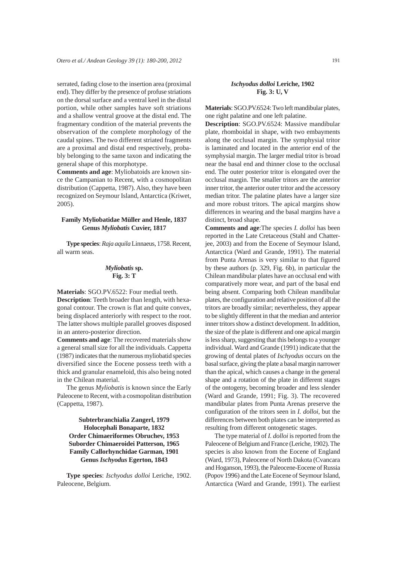serrated, fading close to the insertion area (proximal end). They differ by the presence of profuse striations on the dorsal surface and a ventral keel in the distal portion, while other samples have soft striations and a shallow ventral groove at the distal end. The fragmentary condition of the material prevents the observation of the complete morphology of the caudal spines. The two different striated fragments are a proximal and distal end respectively, probably belonging to the same taxon and indicating the general shape of this morphotype.

**Comments and age**: Myliobatoids are known since the Campanian to Recent, with a cosmopolitan distribution (Cappetta, 1987). Also, they have been recognized on Seymour Island, Antarctica (Kriwet, 2005).

#### **Family Myliobatidae Müller and Henle, 1837 Genus** *Myliobatis* **Cuvier, 1817**

**Type species**: *Raja aquila* Linnaeus, 1758. Recent, all warm seas.

### *Myliobatis* **sp. Fig. 3: T**

**Materials**: SGO.PV.6522: Four medial teeth. **Description**: Teeth broader than length, with hexagonal contour. The crown is flat and quite convex, being displaced anteriorly with respect to the root. The latter shows multiple parallel grooves disposed in an antero-posterior direction.

**Comments and age**: The recovered materials show a general small size for all the individuals. Cappetta (1987) indicates that the numerous myliobatid species diversified since the Eocene possess teeth with a thick and granular enameloid, this also being noted in the Chilean material.

The genus *Myliobatis* is known since the Early Paleocene to Recent, with a cosmopolitan distribution (Cappetta, 1987).

# **Subterbranchialia Zangerl, 1979 Holocephali Bonaparte, 1832 Order Chimaeriformes Obruchev, 1953 Suborder Chimaeroidei Patterson, 1965 Family Callorhynchidae Garman, 1901 Genus** *Ischyodus* **Egerton, 1843**

**Type species**: *Ischyodus dolloi* Leriche, 1902. Paleocene, Belgium.

### *Ischyodus dolloi* **Leriche, 1902 Fig. 3: U, V**

**Materials**: SGO.PV.6524: Two left mandibular plates, one right palatine and one left palatine.

**Description**: SGO.PV.6524: Massive mandibular plate, rhomboidal in shape, with two embayments along the occlusal margin. The symphysial tritor is laminated and located in the anterior end of the symphysial margin. The larger medial tritor is broad near the basal end and thinner close to the occlusal end. The outer posterior tritor is elongated over the occlusal margin. The smaller tritors are the anterior inner tritor, the anterior outer tritor and the accessory median tritor. The palatine plates have a larger size and more robust tritors. The apical margins show differences in wearing and the basal margins have a distinct, broad shape.

**Comments and age**:The species *I. dolloi* has been reported in the Late Cretaceous (Stahl and Chatterjee, 2003) and from the Eocene of Seymour Island, Antarctica (Ward and Grande, 1991). The material from Punta Arenas is very similar to that figured by these authors (p. 329, Fig. 6b), in particular the Chilean mandibular plates have an occlusal end with comparatively more wear, and part of the basal end being absent. Comparing both Chilean mandibular plates, the configuration and relative position of all the tritors are broadly similar; nevertheless, they appear to be slightly different in that the median and anterior inner tritors show a distinct development. In addition, the size of the plate is different and one apical margin is less sharp, suggesting that this belongs to a younger individual. Ward and Grande (1991) indicate that the growing of dental plates of *Ischyodus* occurs on the basal surface, giving the plate a basal margin narrower than the apical, which causes a change in the general shape and a rotation of the plate in different stages of the ontogeny, becoming broader and less slender (Ward and Grande, 1991; Fig. 3). The recovered mandibular plates from Punta Arenas preserve the configuration of the tritors seen in *I. dolloi*, but the differences between both plates can be interpreted as resulting from different ontogenetic stages.

The type material of *I. dolloi* is reported from the Paleocene of Belgium and France (Leriche, 1902). The species is also known from the Eocene of England (Ward, 1973), Paleocene of North Dakota (Cvancara and Hoganson, 1993), the Paleocene-Eocene of Russia (Popov 1996) and the Late Eocene of Seymour Island, Antarctica (Ward and Grande, 1991). The earliest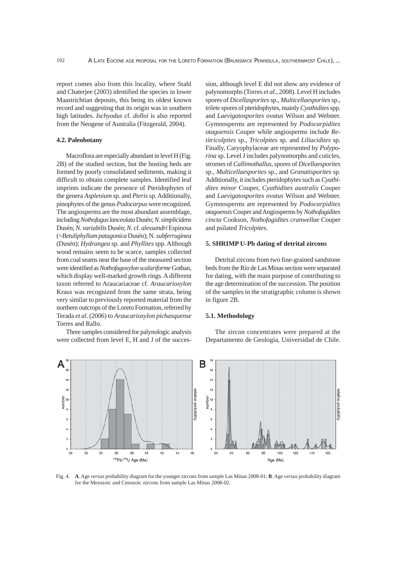report comes also from this locality, where Stahl and Chaterjee (2003) identified the species in lower Maastrichtian deposits, this being its oldest known record and suggesting that its origin was in southern high latitudes. *Ischyodus* cf. *dolloi* is also reported from the Neogene of Australia (Fitzgerald, 2004).

### **4.2. Paleobotany**

Macroflora are especially abundant in level H (Fig. 2B) of the studied section, but the hosting beds are formed by poorly consolidated sediments, making it difficult to obtain complete samples. Identified leaf imprints indicate the presence of Pteridophytes of the genera *Asplenium* sp. and *Pteris* sp. Additionally, pinophytes of the genus *Podocarpus* were recognized. The angiosperms are the most abundant assemblage, including *Nothofagus lanceolata* Dusén; *N. simplicidens* Dusén; *N. variabilis* Dusén; *N*. cf. *alessandri* Espinosa (=*Betuliphyllum patagonica* Dusén); N. *subferruginea* (Dusén); *Hydrangea* sp. and *Phyllites* spp. Although wood remains seem to be scarce, samples collected from coal seams near the base of the measured section were identified as *Nothofagoxylon scalariforme* Gothan, which display well-marked growth rings. A different taxon referred to Araucariaceae cf. *Araucarioxylon* Kraus was recognized from the same strata, being very similar to previously reported material from the northern outcrops of the Loreto Formation, referred by Terada *et al*. (2006) to *Araucarioxylon pichasquense* Torres and Rallo.

Three samples considered for palynologic analysis were collected from level E, H and J of the succession, although level E did not show any evidence of palynomorphs (Torres *et al*., 2008). Level H includes spores of *Dicellasporites* sp., *Multicellaesporites* sp., trilete spores of pteridophytes, mainly *Cyathidites* spp. and *Laevigatosporites ovatus* Wilson and Webster. Gymnosperms are represented by *Podocarpidites otagoensis* Couper while angiosperms include *Retitricolpites* sp., *Tricolpites* sp. and *Liliacidites* sp. Finally, Caryophylaceae are represented by *Polyporina* sp. Level J includes palynomorphs and cuticles, stromes of *Callimothallus*, spores of *Dicellaesporites* sp., *Multicellaesporites* sp., and *Granatisporites* sp. Additionally, it includes pteridophytes such as *Cyathidites minor* Couper, *Cyathidites australis* Couper and *Laevigatosporites ovatus* Wilson and Webster. Gymnosperms are represented by *Podocarpidites otagoensis* Couper and Angiosperms by *Nothofagidites cincta* Cookson, *Nothofagidites cranwellae* Couper and psilated *Tricolpites*.

#### **5. SHRIMP U-Pb dating of detrital zircons**

Detrital zircons from two fine-grained sandstone beds from the Río de Las Minas section were separated for dating, with the main purpose of contributing to the age determination of the succession. The position of the samples in the stratigraphic column is shown in figure 2B.

#### **5.1. Methodology**

The zircon concentrates were prepared at the Departamento de Geología, Universidad de Chile.



Fig. 4. **A**. Age *versus* probability diagram for the younger zircons from sample Las Minas 2008-01; **B**. Age *versus* probability diagram for the Mesozoic and Cenozoic zircons from sample Las Minas 2008-02.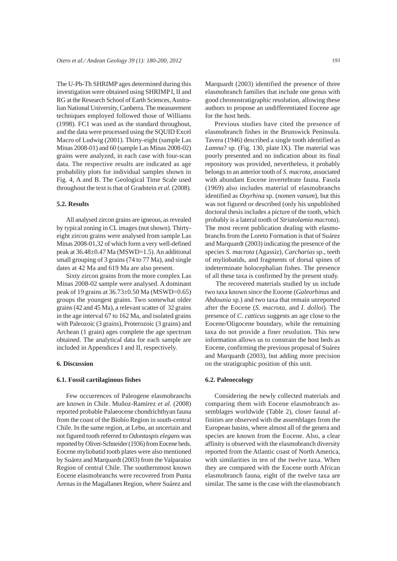The U-Pb-Th SHRIMP ages determined during this investigation were obtained using SHRIMP I, II and RG at the Research School of Earth Sciences, Australian National University, Canberra. The measurement techniques employed followed those of Williams (1998). FC1 was used as the standard throughout, and the data were processed using the SQUID Excel Macro of Ludwig (2001). Thirty-eight (sample Las Minas 2008-01) and 60 (sample Las Minas 2008-02) grains were analyzed, in each case with four-scan data. The respective results are indicated as age probability plots for individual samples shown in Fig. 4, A and B. The Geological Time Scale used throughout the text is that of Gradstein *et al.* (2008).

#### **5.2. Results**

All analysed zircon grains are igneous, as revealed by typical zoning in CL images (not shown). Thirtyeight zircon grains were analysed from sample Las Minas 2008-01,32 of which form a very well-defined peak at 36.48±0.47 Ma (MSWD=1.5). An additional small grouping of 3 grains (74 to 77 Ma), and single dates at 42 Ma and 619 Ma are also present.

Sixty zircon grains from the more complex Las Minas 2008-02 sample were analysed. A dominant peak of 19 grains at 36.73±0.50 Ma (MSWD=0.65) groups the youngest grains. Two somewhat older grains (42 and 45 Ma), a relevant scatter of 32 grains in the age interval 67 to 162 Ma, and isolated grains with Paleozoic (3 grains), Proterozoic (3 grains) and Archean (1 grain) ages complete the age spectrum obtained. The analytical data for each sample are included in Appendices I and II, respectively.

#### **6. Discussion**

#### **6.1. Fossil cartilaginous fishes**

Few occurrences of Paleogene elasmobranchs are known in Chile. Muñoz-Ramírez *et al.* (2008) reported probable Palaeocene chondrichthyan fauna from the coast of the Biobío Region in south-central Chile. In the same region, at Lebu, an uncertain and not figured tooth referred to *Odontaspis elegans* was reported by Oliver-Schneider (1936) from Eocene beds. Eocene myliobatid tooth plates were also mentioned by Suárez and Marquardt (2003) from the Valparaíso Region of central Chile. The southernmost known Eocene elasmobranchs were recovered from Punta Arenas in the Magallanes Region, where Suárez and

Marquardt (2003) identified the presence of three elasmobranch families that include one genus with good chronostratigraphic resolution, allowing these authors to propose an undifferentiated Eocene age for the host beds.

Previous studies have cited the presence of elasmobranch fishes in the Brunswick Peninsula. Tavera (1946) described a single tooth identified as *Lamna*? sp. (Fig. 130, plate IX). The material was poorly presented and no indication about its final repository was provided, nevertheless, it probably belongs to an anterior tooth of *S. macrota*, associated with abundant Eocene invertebrate fauna. Fasola (1969) also includes material of elasmobranchs identified as *Oxyrhina* sp. (*nomen vanum*), but this was not figured or described (only his unpublished doctoral thesis includes a picture of the tooth, which probably is a lateral tooth of *Striatolamia macrota*). The most recent publication dealing with elasmobranchs from the Loreto Formation is that of Suárez and Marquardt (2003) indicating the presence of the species *S. macrota* (Agassiz), *Carcharias* sp., teeth of myliobatids, and fragments of dorsal spines of indeterminate holocephalian fishes. The presence of all these taxa is confirmed by the present study.

The recovered materials studied by us include two taxa known since the Eocene (*Galeorhinus* and *Abdounia* sp.) and two taxa that remain unreported after the Eocene (*S. macrota*, and *I. dolloi*). The presence of *C. catticus* suggests an age close to the Eocene/Oligocene boundary, while the remaining taxa do not provide a finer resolution. This new information allows us to constrain the host beds as Eocene, confirming the previous proposal of Suárez and Marquardt (2003), but adding more precision on the stratigraphic position of this unit*.*

#### **6.2. Paleoecology**

Considering the newly collected materials and comparing them with Eocene elasmobranch assemblages worldwide (Table 2), closer faunal affinities are observed with the assemblages from the European basins, where almost all of the genera and species are known from the Eocene. Also, a clear affinity is observed with the elasmobranch diversity reported from the Atlantic coast of North America, with similarities in ten of the twelve taxa. When they are compared with the Eocene north African elasmobranch fauna, eight of the twelve taxa are similar. The same is the case with the elasmobranch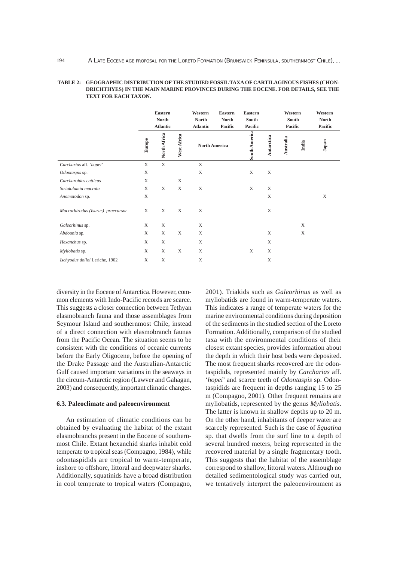|                                   | <b>Eastern</b><br><b>North</b><br><b>Atlantic</b> |              | Western<br><b>North</b><br><b>Atlantic</b> | <b>Eastern</b><br><b>Eastern</b><br>South<br><b>North</b><br>Pacific<br>Pacific |  | Western<br>South<br>Pacific |             |           | Western<br>North<br>Pacific |       |
|-----------------------------------|---------------------------------------------------|--------------|--------------------------------------------|---------------------------------------------------------------------------------|--|-----------------------------|-------------|-----------|-----------------------------|-------|
|                                   | Europe                                            | North Africa | West Africa                                | <b>North America</b>                                                            |  | South America               | Antarctica  | Australia | India                       | Japan |
| Carcharias aff. 'hopei'           | X                                                 | $\mathbf X$  |                                            | X                                                                               |  |                             |             |           |                             |       |
| Odontaspis sp.                    | X                                                 |              |                                            | $\mathbf X$                                                                     |  | X                           | X           |           |                             |       |
| Carcharoides catticus             | X                                                 |              | X                                          |                                                                                 |  |                             |             |           |                             |       |
| Striatolamia macrota              | X                                                 | X            | X                                          | $\mathbf X$                                                                     |  | X                           | X           |           |                             |       |
| Anomotodon sp.                    | X                                                 |              |                                            |                                                                                 |  |                             | X           |           |                             | X     |
| Macrorhizodus (Isurus) praecursor | X                                                 | X            | X                                          | X                                                                               |  |                             | X           |           |                             |       |
| Galeorhinus sp.                   | X                                                 | $\mathbf X$  |                                            | X                                                                               |  |                             |             |           | X                           |       |
| Abdounia sp.                      | X                                                 | $\mathbf X$  | $\mathbf X$                                | $\mathbf X$                                                                     |  |                             | X           |           | $\mathbf X$                 |       |
| Hexanchus sp.                     | X                                                 | $\mathbf X$  |                                            | X                                                                               |  |                             | X           |           |                             |       |
| Myliobatis sp.                    | X                                                 | X            | $\mathbf X$                                | X                                                                               |  | X                           | $\mathbf X$ |           |                             |       |
| Ischyodus dolloi Leriche, 1902    | X                                                 | $\mathbf X$  |                                            | X                                                                               |  |                             | X           |           |                             |       |

| TABLE 2:    GEOGRAPHIC DISTRIBUTION OF THE STUDIED FOSSIL TAXA OF CARTILAGINOUS FISHES (CHON- |
|-----------------------------------------------------------------------------------------------|
| DRICHTHYES) IN THE MAIN MARINE PROVINCES DURING THE EOCENE. FOR DETAILS, SEE THE              |
| TEXT FOR EACH TAXON.                                                                          |

diversity in the Eocene of Antarctica. However, common elements with Indo-Pacific records are scarce. This suggests a closer connection between Tethyan elasmobranch fauna and those assemblages from Seymour Island and southernmost Chile, instead of a direct connection with elasmobranch faunas from the Pacific Ocean. The situation seems to be consistent with the conditions of oceanic currents before the Early Oligocene, before the opening of the Drake Passage and the Australian-Antarctic Gulf caused important variations in the seaways in the circum-Antarctic region (Lawver and Gahagan, 2003) and consequently, important climatic changes.

### **6.3. Paleoclimate and paleoenvironment**

An estimation of climatic conditions can be obtained by evaluating the habitat of the extant elasmobranchs present in the Eocene of southernmost Chile. Extant hexanchid sharks inhabit cold temperate to tropical seas (Compagno, 1984), while odontaspidids are tropical to warm-temperate, inshore to offshore, littoral and deepwater sharks. Additionally, squatinids have a broad distribution in cool temperate to tropical waters (Compagno,

2001). Triakids such as *Galeorhinus* as well as myliobatids are found in warm-temperate waters. This indicates a range of temperate waters for the marine environmental conditions during deposition of the sediments in the studied section of the Loreto Formation. Additionally, comparison of the studied taxa with the environmental conditions of their closest extant species, provides information about the depth in which their host beds were deposited. The most frequent sharks recovered are the odontaspidids, represented mainly by *Carcharias* aff. '*hopei*' and scarce teeth of *Odontaspis* sp. Odontaspidids are frequent in depths ranging 15 to 25 m (Compagno, 2001). Other frequent remains are myliobatids, represented by the genus *Myliobatis*. The latter is known in shallow depths up to 20 m. On the other hand, inhabitants of deeper water are scarcely represented. Such is the case of *Squatina* sp. that dwells from the surf line to a depth of several hundred meters, being represented in the recovered material by a single fragmentary tooth. This suggests that the habitat of the assemblage correspond to shallow, littoral waters. Although no detailed sedimentological study was carried out, we tentatively interpret the paleoenvironment as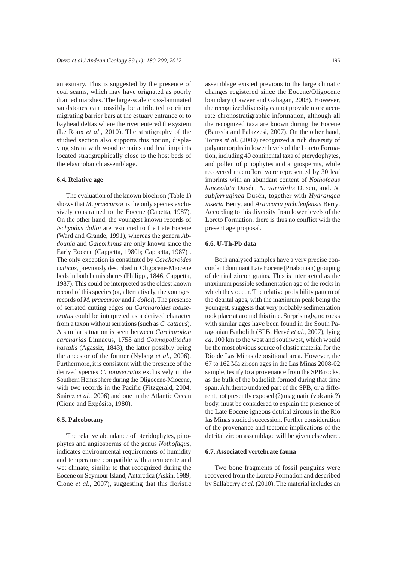an estuary. This is suggested by the presence of coal seams, which may have orignated as poorly drained marshes. The large-scale cross-laminated sandstones can possibly be attributed to either migrating barrier bars at the estuary entrance or to bayhead deltas where the river entered the system (Le Roux *et al*., 2010). The stratigraphy of the studied section also supports this notion, displaying strata with wood remains and leaf imprints located stratigraphically close to the host beds of the elasmobanch assemblage.

#### **6.4. Relative age**

The evaluation of the known biochron (Table 1) shows that *M. praecursor* is the only species exclusively constrained to the Eocene (Capetta, 1987). On the other hand, the youngest known records of *Ischyodus dolloi* are restricted to the Late Eocene (Ward and Grande, 1991), whereas the genera *Abdounia* and *Galeorhinus* are only known since the Early Eocene (Cappetta, 1980b; Cappetta, 1987) . The only exception is constituted by *Carcharoides catticus*, previously described in Oligocene-Miocene beds in both hemispheres (Philippi, 1846; Cappetta, 1987). This could be interpreted as the oldest known record of this species (or, alternatively, the youngest records of *M. praecursor* and *I. dolloi*). The presence of serrated cutting edges on *Carcharoides totuserratus* could be interpreted as a derived character from a taxon without serrations (such as *C. catticus*). A similar situation is seen between *Carcharodon carcharias* Linnaeus, 1758 and *Cosmopolitodus hastalis* (Agassiz, 1843), the latter possibly being the ancestor of the former (Nyberg *et al.*, 2006). Furthermore, it is consistent with the presence of the derived species *C. totuserratus* exclusively in the Southern Hemisphere during the Oligocene-Miocene, with two records in the Pacific (Fitzgerald, 2004; Suárez *et al.*, 2006) and one in the Atlantic Ocean (Cione and Expósito, 1980).

#### **6.5. Paleobotany**

The relative abundance of pteridophytes, pinophytes and angiosperms of the genus *Nothofagus*, indicates environmental requirements of humidity and temperature compatible with a temperate and wet climate, similar to that recognized during the Eocene on Seymour Island, Antarctica (Askin, 1989; Cione *et al*., 2007), suggesting that this floristic

assemblage existed previous to the large climatic changes registered since the Eocene/Oligocene boundary (Lawver and Gahagan, 2003). However, the recognized diversity cannot provide more accurate chronostratigraphic information, although all the recognized taxa are known during the Eocene (Barreda and Palazzesi, 2007). On the other hand, Torres *et al.* (2009) recognized a rich diversity of palynomorphs in lower levels of the Loreto Formation, including 40 continental taxa of pterydophytes, and pollen of pinophytes and angiosperms, while recovered macroflora were represented by 30 leaf imprints with an abundant content of *Nothofagus lanceolata* Dusén, *N. variabilis* Dusén, and. *N. subferruginea* Dusén, together with *Hydrangea inserta* Berry, and *Araucaria pichileufensis* Berry*.* According to this diversity from lower levels of the Loreto Formation, there is thus no conflict with the present age proposal.

#### **6.6. U-Th-Pb data**

Both analysed samples have a very precise concordant dominant Late Eocene (Priabonian) grouping of detrital zircon grains. This is interpreted as the maximum possible sedimentation age of the rocks in which they occur. The relative probability pattern of the detrital ages, with the maximum peak being the youngest, suggests that very probably sedimentation took place at around this time. Surprisingly, no rocks with similar ages have been found in the South Patagonian Batholith (SPB, Hervé *et al.*, 2007), lying *ca*. 100 km to the west and southwest, which would be the most obvious source of clastic material for the Rio de Las Minas depositional area. However, the 67 to 162 Ma zircon ages in the Las Minas 2008-02 sample, testify to a provenance from the SPB rocks, as the bulk of the batholith formed during that time span. A hitherto undated part of the SPB, or a different, not presently exposed (?) magmatic (volcanic?) body, must be considered to explain the presence of the Late Eocene igneous detrital zircons in the Rio las Minas studied succession. Further consideration of the provenance and tectonic implications of the detrital zircon assemblage will be given elsewhere.

#### **6.7. Associated vertebrate fauna**

Two bone fragments of fossil penguins were recovered from the Loreto Formation and described by Sallaberry *et al*. (2010). The material includes an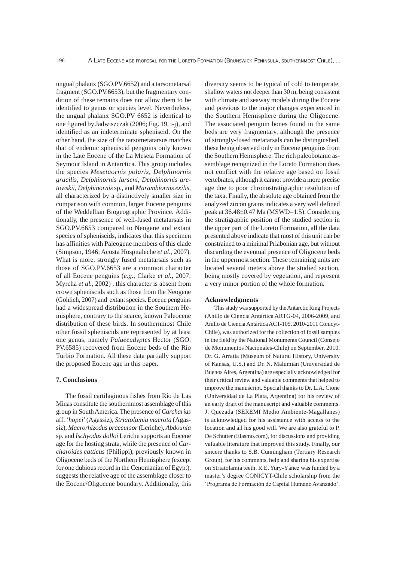ungual phalanx (SGO.PV.6652) and a tarsometarsal fragment (SGO.PV.6653), but the fragmentary condition of these remains does not allow them to be identified to genus or species level. Nevertheless, the ungual phalanx SGO.PV 6652 is identical to one figured by Jadwiszczak (2006; Fig. 19, i-j), and identified as an indeterminate spheniscid. On the other hand, the size of the tarsometatarsus matches that of endemic spheniscid penguins only known in the Late Eocene of the La Meseta Formation of Seymour Island in Antarctica. This group includes the species *Mesetaornis polaris*, *Delphinornis gracilis*, *Delphinornis larseni*, *Delphinornis arctowskii*, *Delphinornis* sp., and *Marambiornis exilis*, all characterized by a distinctively smaller size in comparison with common, larger Eocene penguins of the Weddellian Biogeographic Province. Additionally, the presence of well-fused metatarsals in SGO.PV.6653 compared to Neogene and extant species of spheniscids, indicates that this specimen has affinities with Paleogene members of this clade (Simpson, 1946; Acosta Hospitaleche *et al*., 2007). What is more, strongly fused metatarsals such as those of SGO.PV.6653 are a common character of all Eocene penguins (*e.g.,* Clarke *et al.*, 2007; Myrcha *et al.*, 2002) , this character is absent from crown spheniscids such as those from the Neogene (Göhlich, 2007) and extant species. Eocene penguins had a widespread distribution in the Southern Hemisphere, contrary to the scarce, known Paleocene distribution of these birds. In southernmost Chile other fossil spheniscids are represented by at least one genus, namely *Palaeeudyptes* Hector (SGO. PV.6585) recovered from Eocene beds of the Río Turbio Formation. All these data partially support the proposed Eocene age in this paper.

#### **7. Conclusions**

The fossil cartilaginous fishes from Río de Las Minas constitute the southernmost assemblage of this group in South America. The presence of *Carcharias* aff. '*hopei*' (Agassiz), *Striatolamia macrota* (Agassiz), *Macrorhizodus praecursor* (Leriche), *Abdounia*  sp. and *Ischyodus dolloi* Leriche supports an Eocene age for the hosting strata, while the presence of *Carcharoides catticus* (Philippi), previously known in Oligocene beds of the Northern Hemisphere (except for one dubious record in the Cenomanian of Egypt), suggests the relative age of the assemblage closer to the Eocene/Oligocene boundary. Additionally, this

diversity seems to be typical of cold to temperate, shallow waters not deeper than 30 m, being consistent with climate and seaway models during the Eocene and previous to the major changes experienced in the Southern Hemisphere during the Oligocene. The associated penguin bones found in the same beds are very fragmentary, although the presence of strongly-fused metatarsals can be distinguished, these being observed only in Eocene penguins from the Southern Hemisphere. The rich paleobotanic assemblage recognized in the Loreto Formation does not conflict with the relative age based on fossil vertebrates, although it cannot provide a more precise age due to poor chronostratigraphic resolution of the taxa. Finally, the absolute age obtained from the analyzed zircon grains indicates a very well defined peak at 36.48±0.47 Ma (MSWD=1.5). Considering the stratigraphic position of the studied section in the upper part of the Loreto Formation, all the data presented above indicate that most of this unit can be constrained to a minimal Priabonian age, but without discarding the eventual presence of Oligocene beds in the uppermost section. These remaining units are located several meters above the studied section, being mostly covered by vegetation, and represent a very minor portion of the whole formation.

#### **Acknowledgments**

This study was supported by the Antarctic Ring Projects (Anillo de Ciencia Antártica ARTG-04, 2006-2009, and Anillo de Ciencia Antártica ACT-105, 2010-2011 Conicyt-Chile), was authorized for the collection of fossil samples in the field by the National Monuments Council (Consejo de Monumentos Nacionales-Chile) on September, 2010. Dr. G. Arratia (Museum of Natural History, University of Kansas, U.S.) and Dr. N. Malumián (Universidad de Buenos Aires, Argentina) are especially acknowledged for their critical review and valuable comments that helped to improve the manuscript. Special thanks to Dr. L.A. Cione (Universidad de La Plata, Argentina) for his review of an early draft of the manuscript and valuable comments. J. Quezada (SEREMI Medio Ambiente-Magallanes) is acknowledged for his assistance with access to the location and all his good will. We are also grateful to P. De Schutter (Elasmo.com), for discussions and providing valuable literature that improved this study. Finally, our sincere thanks to S.B. Cunningham (Tertiary Research Group), for his comments, help and sharing his expertise on Striatolamia teeth. R.E. Yury-Yáñez was funded by a master's degree CONICYT-Chile scholarship from the 'Programa de Formación de Capital Humano Avanzado'.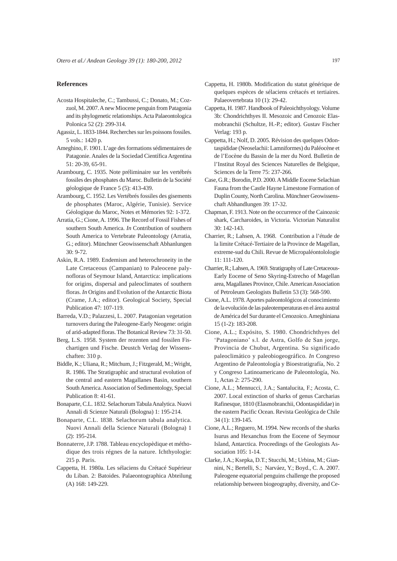### **References**

- Acosta Hospitaleche, C.; Tambussi, C.; Donato, M.; Cozzuol, M. 2007. A new Miocene penguin from Patagonia and its phylogenetic relationships. Acta Palaeontologica Polonica 52 (2): 299-314.
- Agassiz, L. 1833-1844. Recherches sur les poissons fossiles. 5 vols.: 1420 p.
- Ameghino, F. 1901. L'age des formations sédimentaires de Patagonie. Anales de la Sociedad Científica Argentina 51: 20-39, 65-91.
- Arambourg, C. 1935. Note préliminaire sur les vertébrés fossiles des phosphates du Maroc. Bulletin de la Société géologique de France 5 (5): 413-439.
- Arambourg, C. 1952. Les Vertébrés fossiles des gisements de phosphates (Maroc, Algérie, Tunisie). Service Géologique du Maroc, Notes et Mémories 92: 1-372.
- Arratia, G.; Cione, A. 1996. The Record of Fossil Fishes of southern South America. *In* Contribution of southern South America to Vertebrate Paleontology (Arratia, G.; editor). Münchner Geowissenschaft Abhanlungen 30: 9-72.
- Askin, R.A. 1989. Endemism and heterochroneity in the Late Cretaceous (Campanian) to Paleocene palynofloras of Seymour Island, Antarctica: implications for origins, dispersal and paleoclimates of southern floras. *In* Origins and Evolution of the Antarctic Biota (Crame, J.A.; editor). Geological Society, Special Publication 47: 107-119.
- Barreda, V.D.; Palazzesi, L. 2007. Patagonian vegetation turnovers during the Paleogene-Early Neogene: origin of arid-adapted floras. The Botanical Review 73: 31-50.
- Berg, L.S. 1958. System der rezenten und fossilen Fischartigen und Fische. Deustch Verlag der Wissenschaften: 310 p.
- Biddle, K.; Uliana, R.; Mitchum, J.; Fitzgerald, M.; Wright, R. 1986. The Stratigraphic and structural evolution of the central and eastern Magallanes Basin, southern South America. Association of Sedimentology, Special Publication 8: 41-61.
- Bonaparte, C.L. 1832. Selachorum Tabula Analytica. Nuovi Annali di Scienze Naturali (Bologna) 1: 195-214.
- Bonaparte, C.L. 1838. Selachorum tabula analytica. Nuovi Annali della Science Naturali (Bologna) 1 (2): 195-214.
- Bonnaterre, J.P. 1788. Tableau encyclopèdique et méthodique des trois régnes de la nature. Ichthyologie: 215 p. Paris.
- Cappetta, H. 1980a. Les sélaciens du Crétacé Supérieur du Liban. 2: Batoides. Palaeontographica Abteilung (A) 168: 149-229.
- Cappetta, H. 1980b. Modification du statut générique de quelques espèces de sélaciens crétacés et tertiaires. Palaeovertebrata 10 (1): 29-42.
- Cappetta, H. 1987. Handbook of Paleoichthyology. Volume 3b: Chondrichthyes II. Mesozoic and Cenozoic Elasmobranchii (Schultze, H.-P.; editor). Gustav Fischer Verlag: 193 p.
- Cappetta, H.; Nolf, D. 2005. Révision des quelques Odontaspididae (Neoselachii: Lamniformes) du Paléocène et de l'Eocène du Bassin de la mer du Nord. Bulletin de l'Institut Royal des Sciences Naturelles de Belgique, Sciences de la Terre 75: 237-266.
- Case, G.R.; Borodin, P.D. 2000. A Middle Eocene Selachian Fauna from the Castle Hayne Limestone Formation of Duplin County, North Carolina. Münchner Geowissenschaft Abhandlungen 39: 17-32.
- Chapman, F. 1913. Note on the occurrence of the Cainozoic shark, Carcharoides, in Victoria. Victorian Naturalist 30: 142-143.
- Charrier, R.; Lahsen, A. 1968. Contribution a l'étude de la limite Crétacé-Tertiaire de la Province de Magellan, extreme-sud du Chili. Revue de Micropaléontolologie 11: 111-120.
- Charrier, R.; Lahsen, A. 1969. Stratigraphy of Late Cretaceous-Early Eocene of Seno Skyring-Estrecho of Magellan area, Magallanes Province, Chile. American Association of Petroleum Geologists Bulletin 53 (3): 568-590.
- Cione, A.L. 1978. Aportes paleontológicos al conocimiento de la evolución de las paleotemperaturas en el área austral de América del Sur durante el Cenozoico. Ameghiniana 15 (1-2): 183-208.
- Cione, A.L.; Expósito, S. 1980. Chondrichthyes del 'Patagoniano' s.l. de Astra, Golfo de San jorge, Provincia de Chubut, Argentina. Su significado paleoclimático y paleobiogeográfico. *In* Congreso Argentino de Paleontología y Bioestratigrafía, No. 2 y Congreso Latinoamericano de Paleontología, No. 1, Actas 2: 275-290.
- Cione, A.L.; Mennucci, J.A.; Santalucita, F.; Acosta, C. 2007. Local extinction of sharks of genus Carcharias Rafinesque, 1810 (Elasmobranchii, Odontaspididae) in the eastern Pacific Ocean. Revista Geológica de Chile 34 (1): 139-145.
- Cione, A.L.; Reguero, M. 1994. New records of the sharks Isurus and Hexanchus from the Eocene of Seymour Island, Antarctica. Proceedings of the Geologists Association 105: 1-14.
- Clarke, J.A.; Ksepka, D.T.; Stucchi, M.; Urbina, M.; Giannini, N.; Bertelli, S.; Narváez, Y.; Boyd., C. A. 2007. Paleogene equatorial penguins challenge the proposed relationship between biogeography, diversity, and Ce-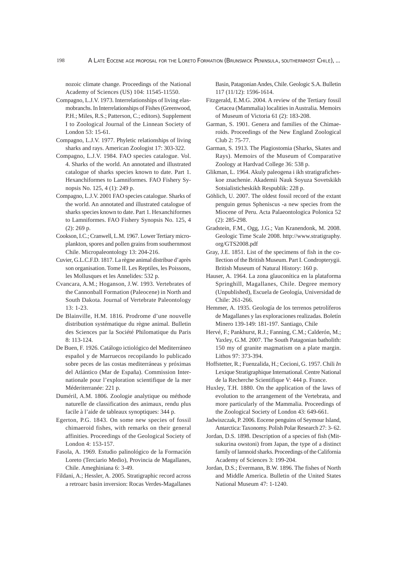nozoic climate change. Proceedings of the National Academy of Sciences (US) 104: 11545-11550.

- Compagno, L.J.V. 1973. Interrelationships of living elasmobranchs. In Interrelationships of Fishes (Greenwood, P.H.; Miles, R.S.; Patterson, C.; editors). Supplement I to Zoological Journal of the Linnean Society of London 53: 15-61.
- Compagno, L.J.V. 1977. Phyletic relationships of living sharks and rays. American Zoologist 17: 303-322.
- Compagno, L.J.V. 1984. FAO species catalogue. Vol. 4. Sharks of the world. An annotated and illustrated catalogue of sharks species known to date. Part 1. Hexanchiformes to Lamniformes. FAO Fishery Synopsis No. 125, 4 (1): 249 p.
- Compagno, L.J.V. 2001 FAO species catalogue. Sharks of the world. An annotated and illustrated catalogue of sharks species known to date. Part 1. Hexanchiformes to Lamniformes. FAO Fishery Synopsis No. 125, 4 (2): 269 p.
- Cookson, I.C.; Cranwell, L.M. 1967. Lower Tertiary microplankton, spores and pollen grains from southernmost Chile. Micropaleontology 13: 204-216.
- Cuvier, G.L.C.F.D. 1817. La règne animal distribue d'après son organisation. Tome II. Les Reptiles, les Poissons, les Mollusques et les Annelides: 532 p.
- Cvancara, A.M.; Hoganson, J.W. 1993. Vertebrates of the Cannonball Formation (Paleocene) in North and South Dakota. Journal of Vertebrate Paleontology 13: 1-23.
- De Blainville, H.M. 1816. Prodrome d'une nouvelle distribution systématique du règne animal. Bulletin des Sciences par la Société Philomatique du Paris 8: 113-124.
- De Buen, F. 1926. Catálogo ictiológico del Mediterráneo español y de Marruecos recopilando lo publicado sobre peces de las costas mediterráneas y próximas del Atlántico (Mar de España). Commission Internationale pour l'exploration scientifique de la mer Méderiterranée: 221 p.
- Duméril, A.M. 1806. Zoologie analytique ou méthode naturelle de classification des animaux, rendu plus facile à l'aide de tableaux synoptiques: 344 p.
- Egerton, P.G. 1843. On some new species of fossil chimaeroid fishes, with remarks on their general affinities. Proceedings of the Geological Society of London 4: 153-157.
- Fasola, A. 1969. Estudio palinológico de la Formación Loreto (Terciario Medio), Provincia de Magallanes, Chile. Ameghiniana 6: 3-49.
- Fildani, A.; Hessler, A. 2005. Stratigraphic record across a retroarc basin inversion: Rocas Verdes-Magallanes

Basin, Patagonian Andes, Chile. Geologic S.A. Bulletin 117 (11/12): 1596-1614.

- Fitzgerald, E.M.G. 2004. A review of the Tertiary fossil Cetacea (Mammalia) localities in Australia. Memoirs of Museum of Victoria 61 (2): 183-208.
- Garman, S. 1901. Genera and families of the Chimaeroids. Proceedings of the New England Zoological Club 2: 75-77.
- Garman, S. 1913. The Plagiostomia (Sharks, Skates and Rays). Memoirs of the Museum of Comparative Zoology at Hardvad College 36: 538 p.
- Glikman, L. 1964. Akuly paleogena i ikh stratigraficheskoe znachenie. Akademii Nauk Soyuza Sovetskikh Sotsialisticheskikh Respublik: 228 p.
- Göhlich, U. 2007. The oldest fossil record of the extant penguin genus Spheniscus -a new species from the Miocene of Peru. Acta Palaeontologica Polonica 52 (2): 285-298.
- Gradstein, F.M., Ogg, J.G.; Van Kranendonk, M. 2008. Geologic Time Scale 2008. http://www.stratigraphy. org/GTS2008.pdf
- Gray, J.E. 1851. List of the specimens of fish in the collection of the British Museum. Part I. Condropterygii. British Museum of Natural History: 160 p.
- Hauser, A. 1964. La zona glauconítica en la plataforma Springhill, Magallanes, Chile. Degree memory (Unpublished), Escuela de Geología, Universidad de Chile: 261-266.
- Hemmer, A. 1935. Geología de los terrenos petrolíferos de Magallanes y las exploraciones realizadas. Boletín Minero 139-149: 181-197. Santiago, Chile
- Hervé, F.; Pankhurst, R.J.; Fanning, C.M.; Calderón, M.; Yaxley, G.M. 2007. The South Patagonian batholith: 150 my of granite magmatism on a plate margin. Lithos 97: 373-394.
- Hoffstetter, R.; Fuenzalida, H.; Cecioni, G. 1957. Chili *In*  Lexique Stratigraphique International. Centre National de la Recherche Scientifique V: 444 p. France.
- Huxley, T.H. 1880. On the application of the laws of evolution to the arrangement of the Vertebrata, and more particularly of the Mammalia. Proceedings of the Zoological Society of London 43: 649-661.
- Jadwiszczak, P. 2006. Eocene penguins of Seymour Island, Antarctica: Taxonomy. Polish Polar Research 27: 3- 62.
- Jordan, D.S. 1898. Description of a species of fish (Mitsukurina owstoni) from Japan, the type of a distinct family of lamnoid sharks. Proceedings of the California Academy of Sciences 3: 199-204.
- Jordan, D.S.; Evermann, B.W. 1896. The fishes of North and Middle America. Bulletin of the United States National Museum 47: 1-1240.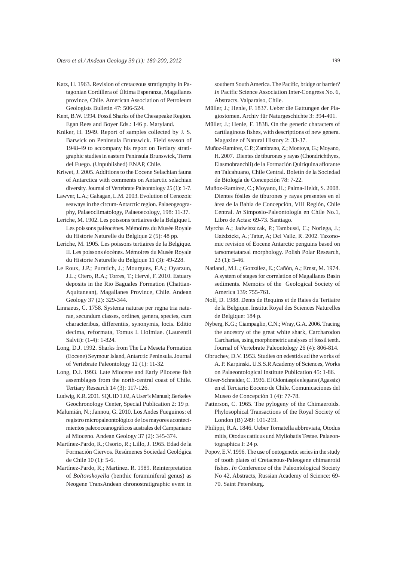- Katz, H. 1963. Revision of cretaceous stratigraphy in Patagonian Cordillera of Última Esperanza, Magallanes province, Chile. American Association of Petroleum Geologists Bulletin 47: 506-524.
- Kent, B.W. 1994. Fossil Sharks of the Chesapeake Region. Egan Rees and Boyer Eds.: 146 p. Maryland.
- Kniker, H. 1949. Report of samples collected by J. S. Barwick on Peninsula Brunswick. Field season of 1948-49 to accompany his report on Tertiary stratigraphic studies in eastern Peninsula Brunswick, Tierra del Fuego. (Unpublished) ENAP, Chile.
- Kriwet, J. 2005. Additions to the Eocene Selachian fauna of Antarctica with comments on Antarctic selachian diversity. Journal of Vertebrate Paleontology 25 (1): 1-7.
- Lawver, L.A.; Gahagan, L.M. 2003. Evolution of Cenozoic seaways in the circum-Antarctic region. Palaeogeography, Palaeoclimatology, Palaeoecology, 198: 11-37.
- Leriche, M. 1902. Les poissons tertiaires de la Belgique I. Les poissons paléocènes. Mémoires du Musée Royale du Historie Naturelle du Belgique 2 (5): 48 pp.
- Leriche, M. 1905. Les poissons tertiaires de la Belgique. II. Les poissons éocènes. Mémoires du Musée Royale du Historie Naturelle du Belgique 11 (3): 49-228.
- Le Roux, J.P.; Puratich, J.; Mourgues, F.A.; Oyarzun, J.L.; Otero, R.A.; Torres, T.; Hervé, F. 2010. Estuary deposits in the Rio Baguales Formation (Chattian-Aquitanean), Magallanes Province, Chile. Andean Geology 37 (2): 329-344.
- Linnaeus, C. 1758. Systema naturae per regna tria naturae, secundum classes, ordines, genera, species, cum characteribus, differentiis, synonymis, locis. Editio decima, reformata, Tomus I. Holmiae. (Laurentii Salvii): (1-4): 1-824.
- Long, D.J. 1992. Sharks from The La Meseta Formation (Eocene) Seymour Island, Antarctic Peninsula. Journal of Vertebrate Paleontology 12 (1): 11-32.
- Long, D.J. 1993. Late Miocene and Early Pliocene fish assemblages from the north-central coast of Chile. Tertiary Research 14 (3): 117-126.
- Ludwig, K.R. 2001. SQUID 1.02, A User's Manual; Berkeley Geochronology Center, Special Publication 2: 19 p.
- Malumián, N.; Jannou, G. 2010. Los Andes Fueguinos: el registro micropaleontológico de los mayores acontecimientos paleooceanográficos australes del Campaniano al Mioceno. Andean Geology 37 (2): 345-374.
- Martínez-Pardo, R.; Osorio, R.; Lillo, J. 1965. Edad de la Formación Ciervos. Resúmenes Sociedad Geológica de Chile 10 (1): 5-6.
- Martínez-Pardo, R.; Martínez. R. 1989. Reinterpretation of *Boltovskoyella* (benthic foraminiferal genus) as Neogene TransAndean chronostratigraphic event in

southern South America. The Pacific, bridge or barrier? *In* Pacific Science Association Inter-Congress No. 6, Abstracts. Valparaíso, Chile.

- Müller, J.; Henle, F. 1837. Ueber die Gattungen der Plagiostomen. Archiv für Naturgeschichte 3: 394-401.
- Müller, J.; Henle, F. 1838. On the generic characters of cartilaginous fishes, with descriptions of new genera. Magazine of Natural History 2: 33-37.
- Muñoz-Ramírez, C.P.; Zambrano, Z.; Montoya, G.; Moyano, H. 2007. Dientes de tiburones y rayas (Chondrichthyes, Elasmobranchii) de la Formación Quiriquina aflorante en Talcahuano, Chile Central. Boletín de la Sociedad de Biología de Concepción 78: 7-22.
- Muñoz-Ramírez, C.; Moyano, H.; Palma-Heldt, S. 2008. Dientes fósiles de tiburones y rayas presentes en el área de la Bahía de Concepción, VIII Región, Chile Central. *In* Simposio-Paleontología en Chile No.1, Libro de Actas: 69-73. Santiago.
- Myrcha A.; Jadwiszczak, P.; Tambussi, C.; Noriega, J.; Gaździcki, A.; Tatur, A; Del Valle, R. 2002. Taxonomic revision of Eocene Antarctic penguins based on tarsometatarsal morphology. Polish Polar Research, 23 (1): 5-46.
- Natland , M.L.; González, E.; Cañón, A.; Ernst, M. 1974. A system of stages for correlation of Magallanes Basin sediments. Memoirs of the Geological Society of America 139: 755-761.
- Nolf, D. 1988. Dents de Requins et de Raies du Tertiaire de la Belgique. Institut Royal des Sciences Naturelles de Belgique: 184 p.
- Nyberg, K.G.; Ciampaglio, C.N.; Wray, G.A. 2006. Tracing the ancestry of the great white shark, Carcharodon Carcharias, using morphometric analyses of fossil teeth. Journal of Vertebrate Paleontology 26 (4): 806-814.
- Obruchev, D.V. 1953. Studies on edestids ad the works of A. P. Karpinski. U.S.S.R Academy of Sciences, Works on Palaeontological Institute Publication 45: 1-86.
- Oliver-Schneider, C. 1936. El Odontaspis elegans (Agassiz) en el Terciario Eoceno de Chile. Comunicaciones del Museo de Concepción 1 (4): 77-78.
- Patterson, C. 1965. The pylogeny of the Chimaeroids. Phylosophical Transactions of the Royal Society of London (B) 249: 101-219.
- Philippi, R.A. 1846. Ueber Tornatella abbreviata, Otodus mitis, Otodus catticus und Myliobatis Testae. Palaeontographica I: 24 p.
- Popov, E.V. 1996. The use of ontogenetic series in the study of tooth plates of Cretaceous-Paleogene chimaeroid fishes. *In* Conference of the Paleontological Society No 42, Abstracts, Russian Academy of Science: 69- 70. Saint Petersburg.